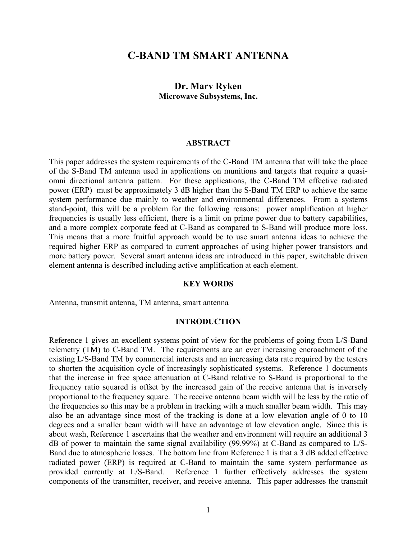# **C-BAND TM SMART ANTENNA**

# **Dr. Marv Ryken Microwave Subsystems, Inc.**

### **ABSTRACT**

This paper addresses the system requirements of the C-Band TM antenna that will take the place of the S-Band TM antenna used in applications on munitions and targets that require a quasiomni directional antenna pattern. For these applications, the C-Band TM effective radiated power (ERP) must be approximately 3 dB higher than the S-Band TM ERP to achieve the same system performance due mainly to weather and environmental differences. From a systems stand-point, this will be a problem for the following reasons: power amplification at higher frequencies is usually less efficient, there is a limit on prime power due to battery capabilities, and a more complex corporate feed at C-Band as compared to S-Band will produce more loss. This means that a more fruitful approach would be to use smart antenna ideas to achieve the required higher ERP as compared to current approaches of using higher power transistors and more battery power. Several smart antenna ideas are introduced in this paper, switchable driven element antenna is described including active amplification at each element.

#### **KEY WORDS**

Antenna, transmit antenna, TM antenna, smart antenna

#### **INTRODUCTION**

Reference 1 gives an excellent systems point of view for the problems of going from L/S-Band telemetry (TM) to C-Band TM. The requirements are an ever increasing encroachment of the existing L/S-Band TM by commercial interests and an increasing data rate required by the testers to shorten the acquisition cycle of increasingly sophisticated systems. Reference 1 documents that the increase in free space attenuation at C-Band relative to S-Band is proportional to the frequency ratio squared is offset by the increased gain of the receive antenna that is inversely proportional to the frequency square. The receive antenna beam width will be less by the ratio of the frequencies so this may be a problem in tracking with a much smaller beam width. This may also be an advantage since most of the tracking is done at a low elevation angle of 0 to 10 degrees and a smaller beam width will have an advantage at low elevation angle. Since this is about wash, Reference 1 ascertains that the weather and environment will require an additional 3 dB of power to maintain the same signal availability (99.99%) at C-Band as compared to L/S-Band due to atmospheric losses. The bottom line from Reference 1 is that a 3 dB added effective radiated power (ERP) is required at C-Band to maintain the same system performance as provided currently at L/S-Band. Reference 1 further effectively addresses the system components of the transmitter, receiver, and receive antenna. This paper addresses the transmit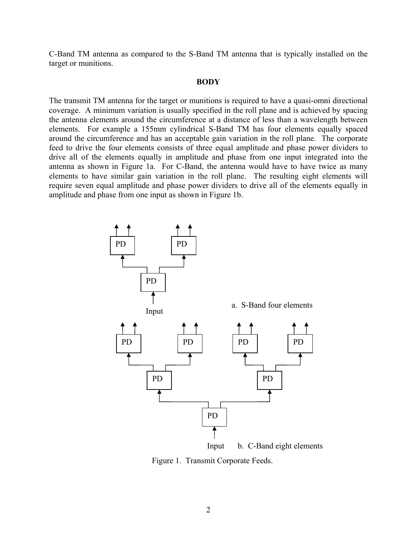C-Band TM antenna as compared to the S-Band TM antenna that is typically installed on the target or munitions.

#### **BODY**

The transmit TM antenna for the target or munitions is required to have a quasi-omni directional coverage. A minimum variation is usually specified in the roll plane and is achieved by spacing the antenna elements around the circumference at a distance of less than a wavelength between elements. For example a 155mm cylindrical S-Band TM has four elements equally spaced around the circumference and has an acceptable gain variation in the roll plane. The corporate feed to drive the four elements consists of three equal amplitude and phase power dividers to drive all of the elements equally in amplitude and phase from one input integrated into the antenna as shown in Figure 1a. For C-Band, the antenna would have to have twice as many elements to have similar gain variation in the roll plane. The resulting eight elements will require seven equal amplitude and phase power dividers to drive all of the elements equally in amplitude and phase from one input as shown in Figure 1b.



Figure 1. Transmit Corporate Feeds.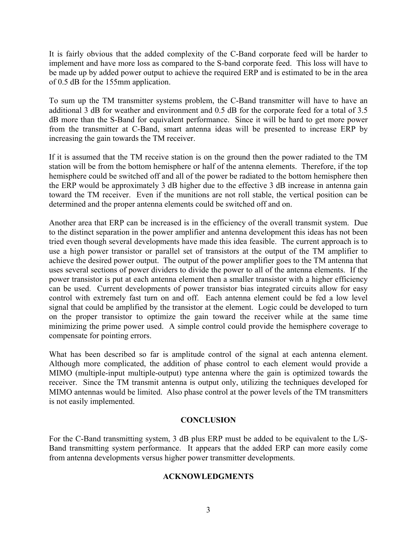It is fairly obvious that the added complexity of the C-Band corporate feed will be harder to implement and have more loss as compared to the S-band corporate feed. This loss will have to be made up by added power output to achieve the required ERP and is estimated to be in the area of 0.5 dB for the 155mm application.

To sum up the TM transmitter systems problem, the C-Band transmitter will have to have an additional 3 dB for weather and environment and 0.5 dB for the corporate feed for a total of 3.5 dB more than the S-Band for equivalent performance. Since it will be hard to get more power from the transmitter at C-Band, smart antenna ideas will be presented to increase ERP by increasing the gain towards the TM receiver.

If it is assumed that the TM receive station is on the ground then the power radiated to the TM station will be from the bottom hemisphere or half of the antenna elements. Therefore, if the top hemisphere could be switched off and all of the power be radiated to the bottom hemisphere then the ERP would be approximately 3 dB higher due to the effective 3 dB increase in antenna gain toward the TM receiver. Even if the munitions are not roll stable, the vertical position can be determined and the proper antenna elements could be switched off and on.

Another area that ERP can be increased is in the efficiency of the overall transmit system. Due to the distinct separation in the power amplifier and antenna development this ideas has not been tried even though several developments have made this idea feasible. The current approach is to use a high power transistor or parallel set of transistors at the output of the TM amplifier to achieve the desired power output. The output of the power amplifier goes to the TM antenna that uses several sections of power dividers to divide the power to all of the antenna elements. If the power transistor is put at each antenna element then a smaller transistor with a higher efficiency can be used. Current developments of power transistor bias integrated circuits allow for easy control with extremely fast turn on and off. Each antenna element could be fed a low level signal that could be amplified by the transistor at the element. Logic could be developed to turn on the proper transistor to optimize the gain toward the receiver while at the same time minimizing the prime power used. A simple control could provide the hemisphere coverage to compensate for pointing errors.

What has been described so far is amplitude control of the signal at each antenna element. Although more complicated, the addition of phase control to each element would provide a MIMO (multiple-input multiple-output) type antenna where the gain is optimized towards the receiver. Since the TM transmit antenna is output only, utilizing the techniques developed for MIMO antennas would be limited. Also phase control at the power levels of the TM transmitters is not easily implemented.

# **CONCLUSION**

For the C-Band transmitting system, 3 dB plus ERP must be added to be equivalent to the L/S-Band transmitting system performance. It appears that the added ERP can more easily come from antenna developments versus higher power transmitter developments.

# **ACKNOWLEDGMENTS**